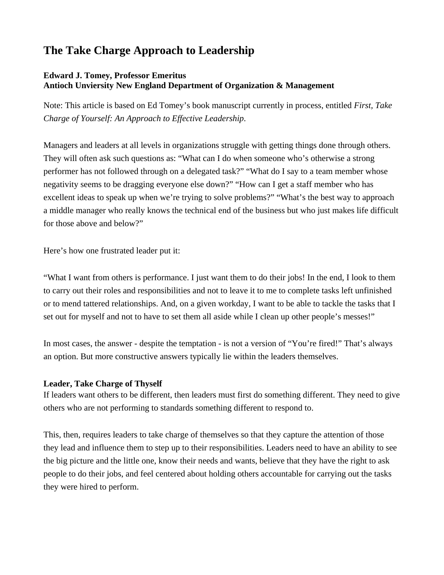# **The Take Charge Approach to Leadership**

# **Edward J. Tomey, Professor Emeritus Antioch Unviersity New England Department of Organization & Management**

Note: This article is based on Ed Tomey's book manuscript currently in process, entitled *First, Take Charge of Yourself: An Approach to Effective Leadership*.

Managers and leaders at all levels in organizations struggle with getting things done through others. They will often ask such questions as: "What can I do when someone who's otherwise a strong performer has not followed through on a delegated task?" "What do I say to a team member whose negativity seems to be dragging everyone else down?" "How can I get a staff member who has excellent ideas to speak up when we're trying to solve problems?" "What's the best way to approach a middle manager who really knows the technical end of the business but who just makes life difficult for those above and below?"

Here's how one frustrated leader put it:

"What I want from others is performance. I just want them to do their jobs! In the end, I look to them to carry out their roles and responsibilities and not to leave it to me to complete tasks left unfinished or to mend tattered relationships. And, on a given workday, I want to be able to tackle the tasks that I set out for myself and not to have to set them all aside while I clean up other people's messes!"

In most cases, the answer - despite the temptation - is not a version of "You're fired!" That's always an option. But more constructive answers typically lie within the leaders themselves.

# **Leader, Take Charge of Thyself**

If leaders want others to be different, then leaders must first do something different. They need to give others who are not performing to standards something different to respond to.

This, then, requires leaders to take charge of themselves so that they capture the attention of those they lead and influence them to step up to their responsibilities. Leaders need to have an ability to see the big picture and the little one, know their needs and wants, believe that they have the right to ask people to do their jobs, and feel centered about holding others accountable for carrying out the tasks they were hired to perform.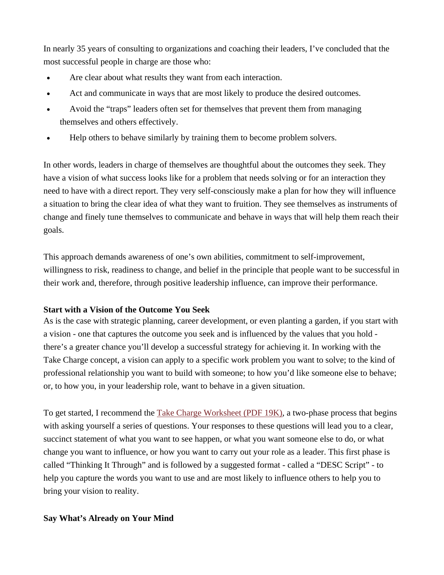In nearly 35 years of consulting to organizations and coaching their leaders, I've concluded that the most successful people in charge are those who:

- Are clear about what results they want from each interaction.
- Act and communicate in ways that are most likely to produce the desired outcomes.
- Avoid the "traps" leaders often set for themselves that prevent them from managing themselves and others effectively.
- Help others to behave similarly by training them to become problem solvers.

In other words, leaders in charge of themselves are thoughtful about the outcomes they seek. They have a vision of what success looks like for a problem that needs solving or for an interaction they need to have with a direct report. They very self-consciously make a plan for how they will influence a situation to bring the clear idea of what they want to fruition. They see themselves as instruments of change and finely tune themselves to communicate and behave in ways that will help them reach their goals.

This approach demands awareness of one's own abilities, commitment to self-improvement, willingness to risk, readiness to change, and belief in the principle that people want to be successful in their work and, therefore, through positive leadership influence, can improve their performance.

### **Start with a Vision of the Outcome You Seek**

As is the case with strategic planning, career development, or even planting a garden, if you start with a vision - one that captures the outcome you seek and is influenced by the values that you hold there's a greater chance you'll develop a successful strategy for achieving it. In working with the Take Charge concept, a vision can apply to a specific work problem you want to solve; to the kind of professional relationship you want to build with someone; to how you'd like someone else to behave; or, to how you, in your leadership role, want to behave in a given situation.

To get started, I recommend the [Take Charge Worksheet \(PDF 19K\)](http://www.antiochne.edu/om/Take_Charge_Worksheet1.pdf), a two-phase process that begins with asking yourself a series of questions. Your responses to these questions will lead you to a clear, succinct statement of what you want to see happen, or what you want someone else to do, or what change you want to influence, or how you want to carry out your role as a leader. This first phase is called "Thinking It Through" and is followed by a suggested format - called a "DESC Script" - to help you capture the words you want to use and are most likely to influence others to help you to bring your vision to reality.

#### **Say What's Already on Your Mind**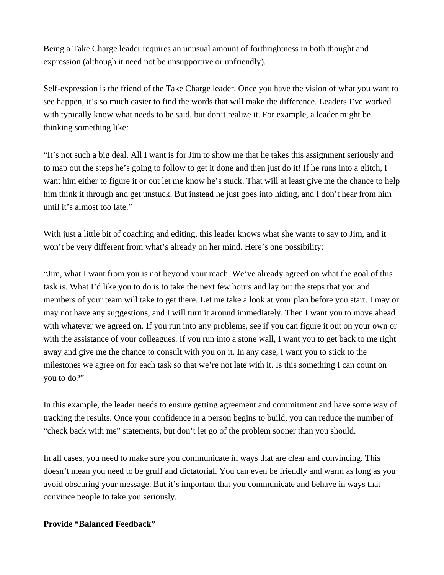Being a Take Charge leader requires an unusual amount of forthrightness in both thought and expression (although it need not be unsupportive or unfriendly).

Self-expression is the friend of the Take Charge leader. Once you have the vision of what you want to see happen, it's so much easier to find the words that will make the difference. Leaders I've worked with typically know what needs to be said, but don't realize it. For example, a leader might be thinking something like:

"It's not such a big deal. All I want is for Jim to show me that he takes this assignment seriously and to map out the steps he's going to follow to get it done and then just do it! If he runs into a glitch, I want him either to figure it or out let me know he's stuck. That will at least give me the chance to help him think it through and get unstuck. But instead he just goes into hiding, and I don't hear from him until it's almost too late."

With just a little bit of coaching and editing, this leader knows what she wants to say to Jim, and it won't be very different from what's already on her mind. Here's one possibility:

"Jim, what I want from you is not beyond your reach. We've already agreed on what the goal of this task is. What I'd like you to do is to take the next few hours and lay out the steps that you and members of your team will take to get there. Let me take a look at your plan before you start. I may or may not have any suggestions, and I will turn it around immediately. Then I want you to move ahead with whatever we agreed on. If you run into any problems, see if you can figure it out on your own or with the assistance of your colleagues. If you run into a stone wall, I want you to get back to me right away and give me the chance to consult with you on it. In any case, I want you to stick to the milestones we agree on for each task so that we're not late with it. Is this something I can count on you to do?"

In this example, the leader needs to ensure getting agreement and commitment and have some way of tracking the results. Once your confidence in a person begins to build, you can reduce the number of "check back with me" statements, but don't let go of the problem sooner than you should.

In all cases, you need to make sure you communicate in ways that are clear and convincing. This doesn't mean you need to be gruff and dictatorial. You can even be friendly and warm as long as you avoid obscuring your message. But it's important that you communicate and behave in ways that convince people to take you seriously.

## **Provide "Balanced Feedback"**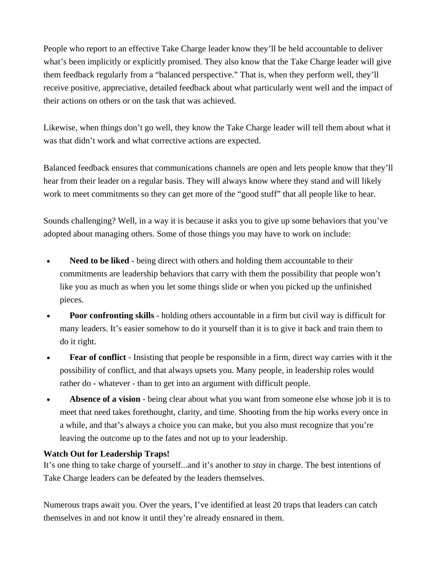People who report to an effective Take Charge leader know they'll be held accountable to deliver what's been implicitly or explicitly promised. They also know that the Take Charge leader will give them feedback regularly from a "balanced perspective." That is, when they perform well, they'll receive positive, appreciative, detailed feedback about what particularly went well and the impact of their actions on others or on the task that was achieved.

Likewise, when things don't go well, they know the Take Charge leader will tell them about what it was that didn't work and what corrective actions are expected.

Balanced feedback ensures that communications channels are open and lets people know that they'll hear from their leader on a regular basis. They will always know where they stand and will likely work to meet commitments so they can get more of the "good stuff" that all people like to hear.

Sounds challenging? Well, in a way it is because it asks you to give up some behaviors that you've adopted about managing others. Some of those things you may have to work on include:

- **Need to be liked** being direct with others and holding them accountable to their commitments are leadership behaviors that carry with them the possibility that people won't like you as much as when you let some things slide or when you picked up the unfinished pieces.
- **Poor confronting skills** holding others accountable in a firm but civil way is difficult for many leaders. It's easier somehow to do it yourself than it is to give it back and train them to do it right.
- **Fear of conflict** Insisting that people be responsible in a firm, direct way carries with it the possibility of conflict, and that always upsets you. Many people, in leadership roles would rather do - whatever - than to get into an argument with difficult people.
- Absence of a vision being clear about what you want from someone else whose job it is to meet that need takes forethought, clarity, and time. Shooting from the hip works every once in a while, and that's always a choice you can make, but you also must recognize that you're leaving the outcome up to the fates and not up to your leadership.

# **Watch Out for Leadership Traps!**

It's one thing to take charge of yourself...and it's another to *stay* in charge. The best intentions of Take Charge leaders can be defeated by the leaders themselves.

Numerous traps await you. Over the years, I've identified at least 20 traps that leaders can catch themselves in and not know it until they're already ensnared in them.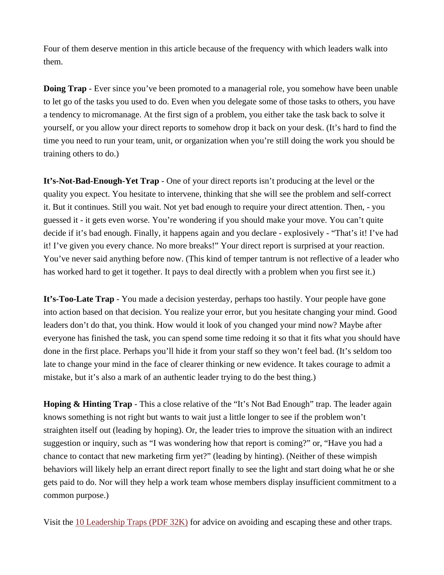Four of them deserve mention in this article because of the frequency with which leaders walk into them.

**Doing Trap** - Ever since you've been promoted to a managerial role, you somehow have been unable to let go of the tasks you used to do. Even when you delegate some of those tasks to others, you have a tendency to micromanage. At the first sign of a problem, you either take the task back to solve it yourself, or you allow your direct reports to somehow drop it back on your desk. (It's hard to find the time you need to run your team, unit, or organization when you're still doing the work you should be training others to do.)

**It's-Not-Bad-Enough-Yet Trap** - One of your direct reports isn't producing at the level or the quality you expect. You hesitate to intervene, thinking that she will see the problem and self-correct it. But it continues. Still you wait. Not yet bad enough to require your direct attention. Then, - you guessed it - it gets even worse. You're wondering if you should make your move. You can't quite decide if it's bad enough. Finally, it happens again and you declare - explosively - "That's it! I've had it! I've given you every chance. No more breaks!" Your direct report is surprised at your reaction. You've never said anything before now. (This kind of temper tantrum is not reflective of a leader who has worked hard to get it together. It pays to deal directly with a problem when you first see it.)

**It's-Too-Late Trap** - You made a decision yesterday, perhaps too hastily. Your people have gone into action based on that decision. You realize your error, but you hesitate changing your mind. Good leaders don't do that, you think. How would it look of you changed your mind now? Maybe after everyone has finished the task, you can spend some time redoing it so that it fits what you should have done in the first place. Perhaps you'll hide it from your staff so they won't feel bad. (It's seldom too late to change your mind in the face of clearer thinking or new evidence. It takes courage to admit a mistake, but it's also a mark of an authentic leader trying to do the best thing.)

**Hoping & Hinting Trap** - This a close relative of the "It's Not Bad Enough" trap. The leader again knows something is not right but wants to wait just a little longer to see if the problem won't straighten itself out (leading by hoping). Or, the leader tries to improve the situation with an indirect suggestion or inquiry, such as "I was wondering how that report is coming?" or, "Have you had a chance to contact that new marketing firm yet?" (leading by hinting). (Neither of these wimpish behaviors will likely help an errant direct report finally to see the light and start doing what he or she gets paid to do. Nor will they help a work team whose members display insufficient commitment to a common purpose.)

Visit the [10 Leadership Traps \(PDF 32K\)](http://www.antiochne.edu/om/10_Leadership_Traps.pdf) for advice on avoiding and escaping these and other traps.